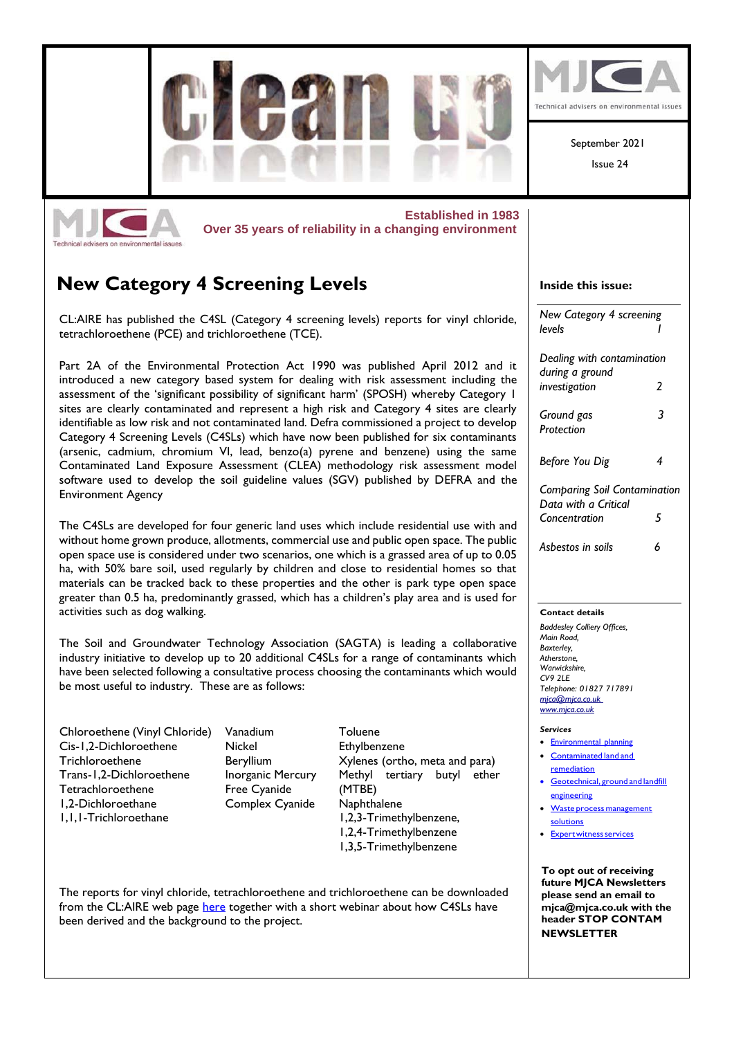

The reports for vinyl chloride, tetrachloroethene and trichloroethene can be downloaded from the CL:AIRE web page [here](https://www.claire.co.uk/projects-and-initiatives/category-4-screening-levels) together with a short webinar about how C4SLs have been derived and the background to the project.

**NEWSLETTER**

**please send an email to [mjca@mjca.co.uk](mailto:mjca@mjca.co.uk) with the header STOP CONTAM**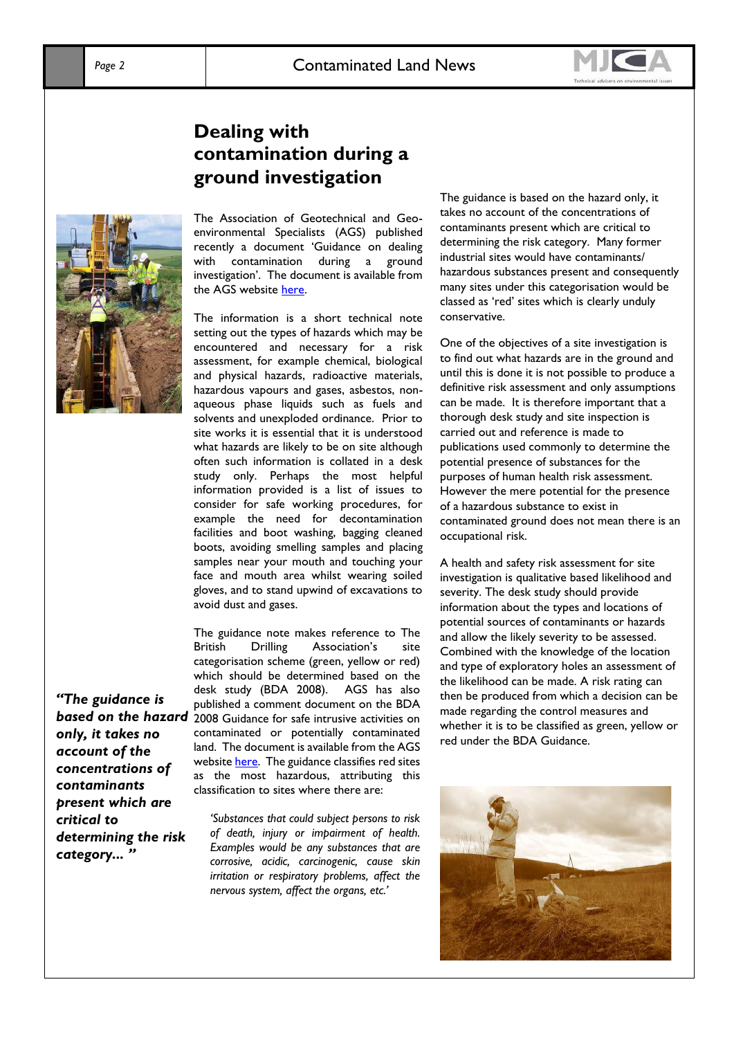### **Dealing with contamination during a ground investigation**



The Association of Geotechnical and Geoenvironmental Specialists (AGS) published recently a document 'Guidance on dealing with contamination during a ground investigation'. The document is available from the AGS website [here.](https://www.ags.org.uk/item/guidance-on-dealing-with-contamination-during-a-ground-investigation/)

The information is a short technical note setting out the types of hazards which may be encountered and necessary for a risk assessment, for example chemical, biological and physical hazards, radioactive materials, hazardous vapours and gases, asbestos, nonaqueous phase liquids such as fuels and solvents and unexploded ordinance. Prior to site works it is essential that it is understood what hazards are likely to be on site although often such information is collated in a desk study only. Perhaps the most helpful information provided is a list of issues to consider for safe working procedures, for example the need for decontamination facilities and boot washing, bagging cleaned boots, avoiding smelling samples and placing samples near your mouth and touching your face and mouth area whilst wearing soiled gloves, and to stand upwind of excavations to avoid dust and gases.

The guidance note makes reference to The British Drilling Association's site categorisation scheme (green, yellow or red) which should be determined based on the desk study (BDA 2008). AGS has also published a comment document on the BDA 2008 Guidance for safe intrusive activities on contaminated or potentially contaminated land. The document is available from the AGS websit[e here.](https://www.ags.org.uk/item/comment-on-the-approach-for-classifying-sites-into-green-yellow-or-red/) The guidance classifies red sites as the most hazardous, attributing this classification to sites where there are:

*'Substances that could subject persons to risk of death, injury or impairment of health. Examples would be any substances that are corrosive, acidic, carcinogenic, cause skin irritation or respiratory problems, affect the nervous system, affect the organs, etc.'* 

The guidance is based on the hazard only, it takes no account of the concentrations of contaminants present which are critical to determining the risk category. Many former industrial sites would have contaminants/ hazardous substances present and consequently many sites under this categorisation would be classed as 'red' sites which is clearly unduly conservative.

One of the objectives of a site investigation is to find out what hazards are in the ground and until this is done it is not possible to produce a definitive risk assessment and only assumptions can be made. It is therefore important that a thorough desk study and site inspection is carried out and reference is made to publications used commonly to determine the potential presence of substances for the purposes of human health risk assessment. However the mere potential for the presence of a hazardous substance to exist in contaminated ground does not mean there is an occupational risk.

A health and safety risk assessment for site investigation is qualitative based likelihood and severity. The desk study should provide information about the types and locations of potential sources of contaminants or hazards and allow the likely severity to be assessed. Combined with the knowledge of the location and type of exploratory holes an assessment of the likelihood can be made. A risk rating can then be produced from which a decision can be made regarding the control measures and whether it is to be classified as green, yellow or red under the BDA Guidance.



*"The guidance is based on the hazard only, it takes no account of the concentrations of contaminants present which are critical to determining the risk category... "*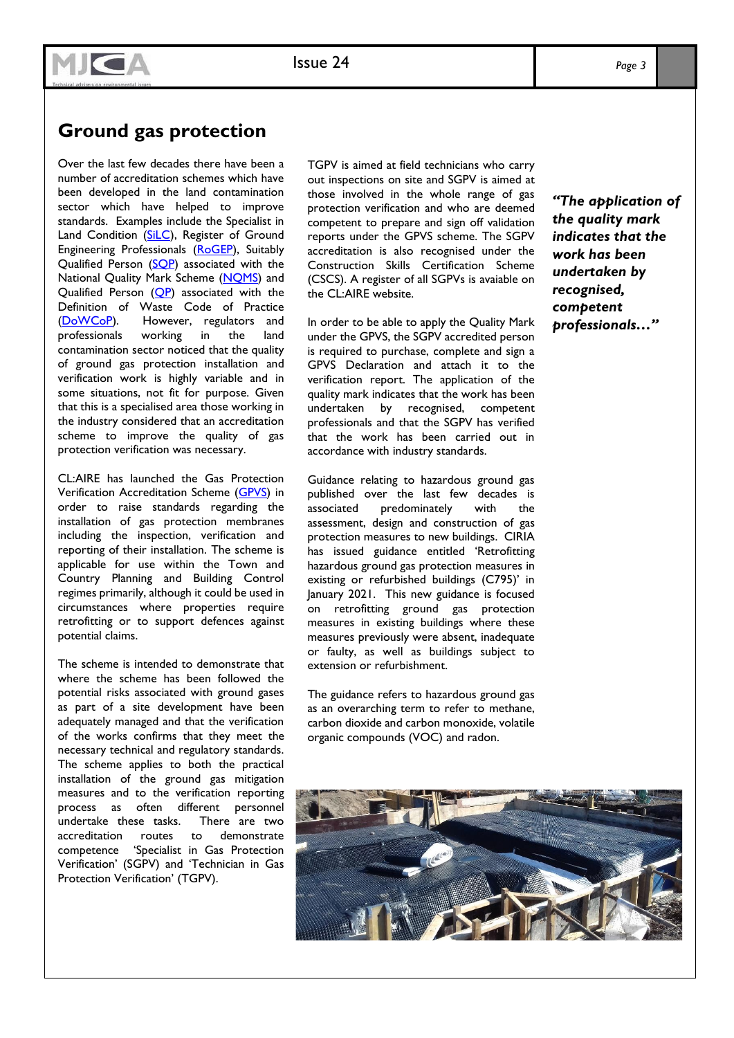# MJGA

Issue 22

# **Ground gas protection**

Over the last few decades there have been a number of accreditation schemes which have been developed in the land contamination sector which have helped to improve standards. Examples include the Specialist in Land Condition [\(SiLC\)](https://www.silc.org.uk/), Register of Ground Engineering Professionals [\(RoGEP\)](https://www.geolsoc.org.uk/RoGEP), Suitably Qualified Person (SOP) associated with the National Quality Mark Scheme (NOMS) and Qualified Person  $(QP)$  associated with the Definition of Waste Code of Practice [\(DoWCoP\)](https://www.claire.co.uk/projects-and-initiatives/dow-cop). However, regulators and professionals working in the land contamination sector noticed that the quality of ground gas protection installation and verification work is highly variable and in some situations, not fit for purpose. Given that this is a specialised area those working in the industry considered that an accreditation scheme to improve the quality of gas protection verification was necessary.

CL:AIRE has launched the Gas Protection Verification Accreditation Scheme [\(GPVS\)](https://www.claire.co.uk/projects-and-initiatives/gpvs) in order to raise standards regarding the installation of gas protection membranes including the inspection, verification and reporting of their installation. The scheme is applicable for use within the Town and Country Planning and Building Control regimes primarily, although it could be used in circumstances where properties require retrofitting or to support defences against potential claims.

The scheme is intended to demonstrate that where the scheme has been followed the potential risks associated with ground gases as part of a site development have been adequately managed and that the verification of the works confirms that they meet the necessary technical and regulatory standards. The scheme applies to both the practical installation of the ground gas mitigation measures and to the verification reporting process as often different personnel undertake these tasks. There are two accreditation routes to demonstrate competence 'Specialist in Gas Protection Verification' (SGPV) and 'Technician in Gas Protection Verification' (TGPV).

TGPV is aimed at field technicians who carry out inspections on site and SGPV is aimed at those involved in the whole range of gas protection verification and who are deemed competent to prepare and sign off validation reports under the GPVS scheme. The SGPV accreditation is also recognised under the Construction Skills Certification Scheme (CSCS). A register of all SGPVs is avaiable on the CL:AIRE website.

In order to be able to apply the Quality Mark under the GPVS, the SGPV accredited person is required to purchase, complete and sign a GPVS Declaration and attach it to the verification report. The application of the quality mark indicates that the work has been undertaken by recognised, competent professionals and that the SGPV has verified that the work has been carried out in accordance with industry standards.

Guidance relating to hazardous ground gas published over the last few decades is associated predominately with the assessment, design and construction of gas protection measures to new buildings. CIRIA has issued guidance entitled 'Retrofitting hazardous ground gas protection measures in existing or refurbished buildings (C795)' in January 2021. This new guidance is focused on retrofitting ground gas protection measures in existing buildings where these measures previously were absent, inadequate or faulty, as well as buildings subject to extension or refurbishment.

The guidance refers to hazardous ground gas as an overarching term to refer to methane, carbon dioxide and carbon monoxide, volatile organic compounds (VOC) and radon.

*"The application of the quality mark indicates that the work has been undertaken by recognised, competent professionals…"*

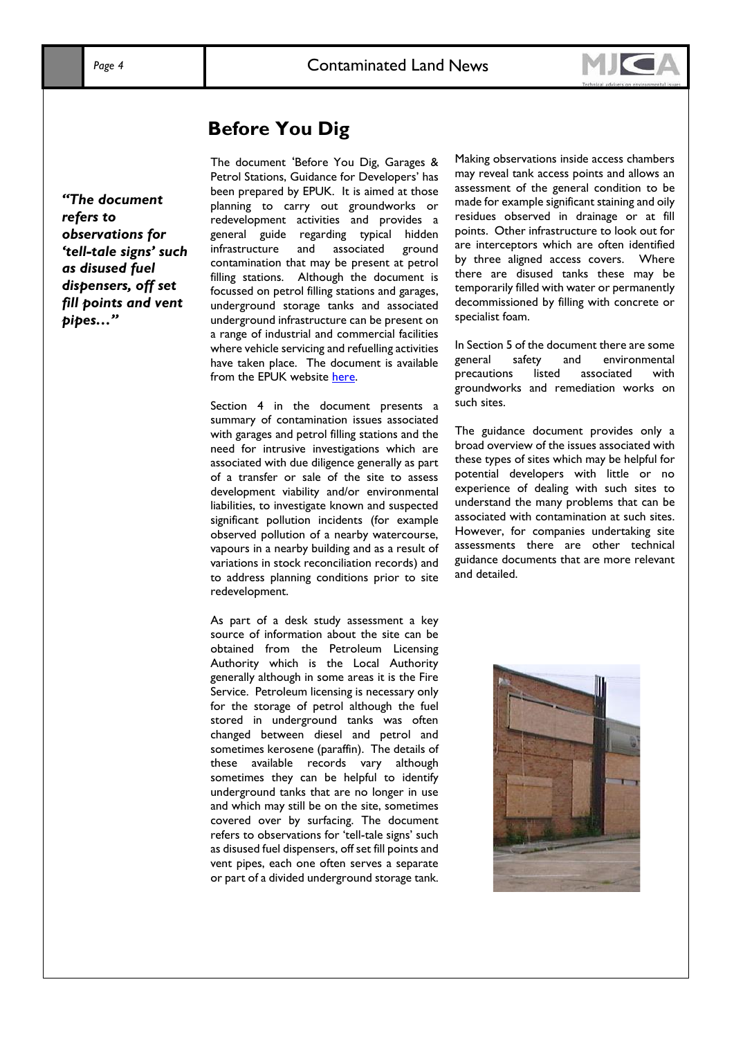

### **Before You Dig**

*"The document refers to observations for 'tell-tale signs' such as disused fuel dispensers, off set fill points and vent pipes…"*

The document 'Before You Dig, Garages & Petrol Stations, Guidance for Developers' has been prepared by EPUK. It is aimed at those planning to carry out groundworks or redevelopment activities and provides a general guide regarding typical hidden infrastructure and associated ground contamination that may be present at petrol filling stations. Although the document is focussed on petrol filling stations and garages, underground storage tanks and associated underground infrastructure can be present on a range of industrial and commercial facilities where vehicle servicing and refuelling activities have taken place. The document is available from the EPUK website [here.](https://www.environmental-protection.org.uk/wp-content/uploads/2020/06/petrol-stations-guide-june-2020.pdf)

Section 4 in the document presents a summary of contamination issues associated with garages and petrol filling stations and the need for intrusive investigations which are associated with due diligence generally as part of a transfer or sale of the site to assess development viability and/or environmental liabilities, to investigate known and suspected significant pollution incidents (for example observed pollution of a nearby watercourse, vapours in a nearby building and as a result of variations in stock reconciliation records) and to address planning conditions prior to site redevelopment.

As part of a desk study assessment a key source of information about the site can be obtained from the Petroleum Licensing Authority which is the Local Authority generally although in some areas it is the Fire Service. Petroleum licensing is necessary only for the storage of petrol although the fuel stored in underground tanks was often changed between diesel and petrol and sometimes kerosene (paraffin). The details of these available records vary although sometimes they can be helpful to identify underground tanks that are no longer in use and which may still be on the site, sometimes covered over by surfacing. The document refers to observations for 'tell-tale signs' such as disused fuel dispensers, off set fill points and vent pipes, each one often serves a separate or part of a divided underground storage tank*.* 

Making observations inside access chambers may reveal tank access points and allows an assessment of the general condition to be made for example significant staining and oily residues observed in drainage or at fill points. Other infrastructure to look out for are interceptors which are often identified by three aligned access covers. Where there are disused tanks these may be temporarily filled with water or permanently decommissioned by filling with concrete or specialist foam.

In Section 5 of the document there are some general safety and environmental precautions listed associated with groundworks and remediation works on such sites.

The guidance document provides only a broad overview of the issues associated with these types of sites which may be helpful for potential developers with little or no experience of dealing with such sites to understand the many problems that can be associated with contamination at such sites. However, for companies undertaking site assessments there are other technical guidance documents that are more relevant and detailed.

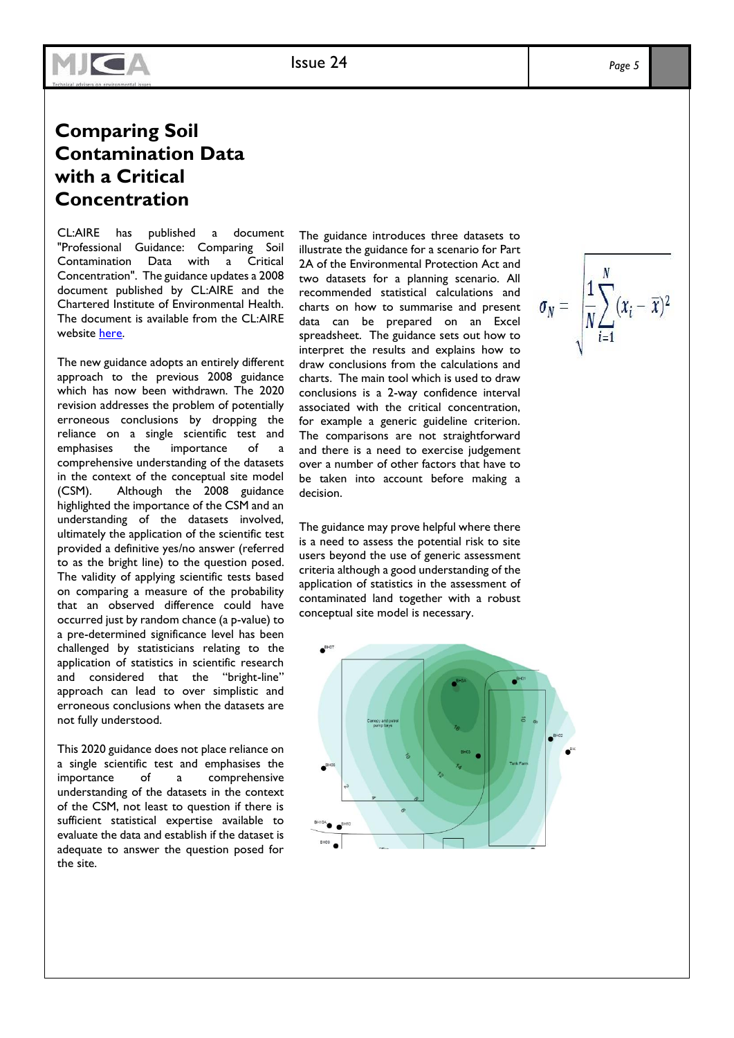# **Comparing Soil Contamination Data with a Critical Concentration**

Issue 22

**MJCA** 

CL:AIRE has published a document "Professional Guidance: Comparing Soil Contamination Data with a Critical Concentration". The guidance updates a 2008 document published by CL:AIRE and the Chartered Institute of Environmental Health. The document is available from the CL:AIRE website [here.](https://www.claire.co.uk/component/phocadownload/category/9-other-cl-aire-documents)

The new guidance adopts an entirely different approach to the previous 2008 guidance which has now been withdrawn. The 2020 revision addresses the problem of potentially erroneous conclusions by dropping the reliance on a single scientific test and emphasises the importance of a comprehensive understanding of the datasets in the context of the conceptual site model (CSM). Although the 2008 guidance highlighted the importance of the CSM and an understanding of the datasets involved, ultimately the application of the scientific test provided a definitive yes/no answer (referred to as the bright line) to the question posed. The validity of applying scientific tests based on comparing a measure of the probability that an observed difference could have occurred just by random chance (a p-value) to a pre-determined significance level has been challenged by statisticians relating to the application of statistics in scientific research and considered that the "bright-line" approach can lead to over simplistic and erroneous conclusions when the datasets are not fully understood.

This 2020 guidance does not place reliance on a single scientific test and emphasises the importance of a comprehensive understanding of the datasets in the context of the CSM, not least to question if there is sufficient statistical expertise available to evaluate the data and establish if the dataset is adequate to answer the question posed for the site.

The guidance introduces three datasets to illustrate the guidance for a scenario for Part 2A of the Environmental Protection Act and two datasets for a planning scenario. All recommended statistical calculations and charts on how to summarise and present data can be prepared on an Excel spreadsheet. The guidance sets out how to interpret the results and explains how to draw conclusions from the calculations and charts. The main tool which is used to draw conclusions is a 2-way confidence interval associated with the critical concentration, for example a generic guideline criterion. The comparisons are not straightforward and there is a need to exercise judgement over a number of other factors that have to be taken into account before making a decision.

The guidance may prove helpful where there is a need to assess the potential risk to site users beyond the use of generic assessment criteria although a good understanding of the application of statistics in the assessment of contaminated land together with a robust conceptual site model is necessary.